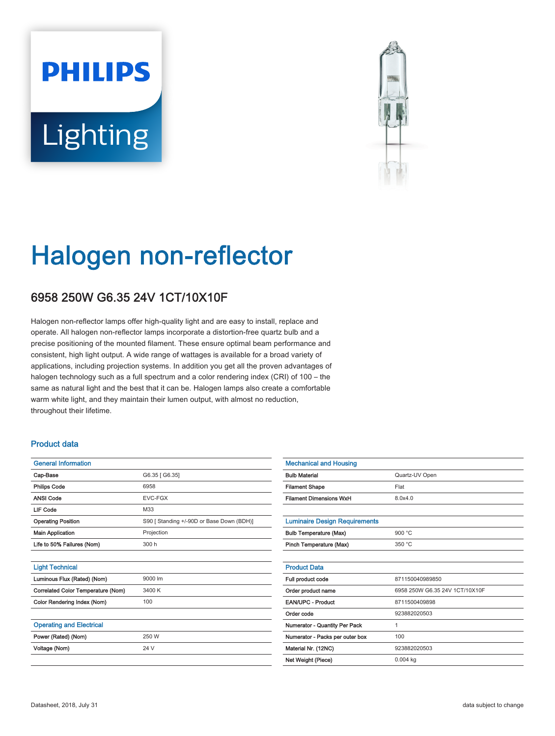# **PHILIPS** Lighting



# Halogen non-reflector

## 6958 250W G6.35 24V 1CT/10X10F

Halogen non-reflector lamps offer high-quality light and are easy to install, replace and operate. All halogen non-reflector lamps incorporate a distortion-free quartz bulb and a precise positioning of the mounted filament. These ensure optimal beam performance and consistent, high light output. A wide range of wattages is available for a broad variety of applications, including projection systems. In addition you get all the proven advantages of halogen technology such as a full spectrum and a color rendering index (CRI) of 100 – the same as natural light and the best that it can be. Halogen lamps also create a comfortable warm white light, and they maintain their lumen output, with almost no reduction, throughout their lifetime.

#### Product data

| <b>General Information</b>         |                                           |  |  |  |  |  |
|------------------------------------|-------------------------------------------|--|--|--|--|--|
| Cap-Base                           | G6.35 [ G6.35]                            |  |  |  |  |  |
| <b>Philips Code</b>                | 6958                                      |  |  |  |  |  |
| <b>ANSI Code</b>                   | EVC-FGX                                   |  |  |  |  |  |
| <b>LIF Code</b>                    | M33                                       |  |  |  |  |  |
| <b>Operating Position</b>          | S90 [ Standing +/-90D or Base Down (BDH)] |  |  |  |  |  |
| <b>Main Application</b>            | Projection                                |  |  |  |  |  |
| Life to 50% Failures (Nom)         | 300 h                                     |  |  |  |  |  |
|                                    |                                           |  |  |  |  |  |
| <b>Light Technical</b>             |                                           |  |  |  |  |  |
| Luminous Flux (Rated) (Nom)        | 9000 lm                                   |  |  |  |  |  |
| Correlated Color Temperature (Nom) | 3400 K                                    |  |  |  |  |  |
| Color Rendering Index (Nom)        | 100                                       |  |  |  |  |  |
|                                    |                                           |  |  |  |  |  |
| <b>Operating and Electrical</b>    |                                           |  |  |  |  |  |
| Power (Rated) (Nom)                | 250 W                                     |  |  |  |  |  |
| Voltage (Nom)                      | 24 V                                      |  |  |  |  |  |

| <b>Mechanical and Housing</b>        |                                |  |  |  |  |
|--------------------------------------|--------------------------------|--|--|--|--|
| <b>Bulb Material</b>                 | Quartz-UV Open                 |  |  |  |  |
| <b>Filament Shape</b>                | Flat                           |  |  |  |  |
| <b>Filament Dimensions WxH</b>       | 8.0x4.0                        |  |  |  |  |
|                                      |                                |  |  |  |  |
| <b>Luminaire Design Requirements</b> |                                |  |  |  |  |
| <b>Bulb Temperature (Max)</b>        | 900 $°C$                       |  |  |  |  |
| Pinch Temperature (Max)              | 350 °C                         |  |  |  |  |
|                                      |                                |  |  |  |  |
| <b>Product Data</b>                  |                                |  |  |  |  |
| Full product code                    | 871150040989850                |  |  |  |  |
| Order product name                   | 6958 250W G6.35 24V 1CT/10X10F |  |  |  |  |
| EAN/UPC - Product                    | 8711500409898                  |  |  |  |  |
| Order code                           | 923882020503                   |  |  |  |  |
| <b>Numerator - Quantity Per Pack</b> | 1                              |  |  |  |  |
| Numerator - Packs per outer box      | 100                            |  |  |  |  |
| Material Nr. (12NC)                  | 923882020503                   |  |  |  |  |
| Net Weight (Piece)                   | $0.004$ kg                     |  |  |  |  |
|                                      |                                |  |  |  |  |